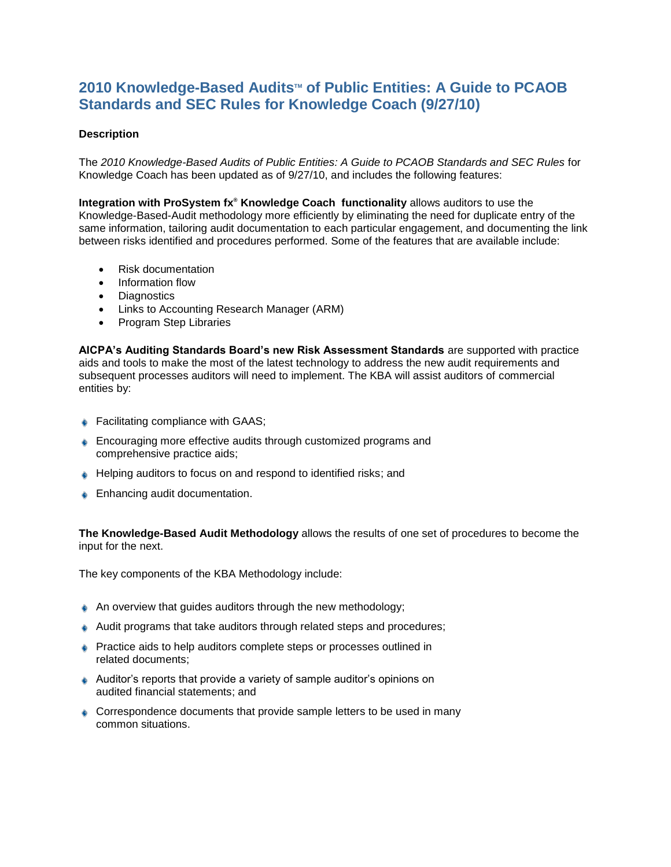## **2010 Knowledge-Based AuditsTM of Public Entities: A Guide to PCAOB Standards and SEC Rules for Knowledge Coach (9/27/10)**

## **Description**

The *2010 Knowledge-Based Audits of Public Entities: A Guide to PCAOB Standards and SEC Rules* for Knowledge Coach has been updated as of 9/27/10, and includes the following features:

**Integration with ProSystem fx® Knowledge Coach functionality** allows auditors to use the Knowledge-Based-Audit methodology more efficiently by eliminating the need for duplicate entry of the same information, tailoring audit documentation to each particular engagement, and documenting the link between risks identified and procedures performed. Some of the features that are available include:

- Risk documentation
- Information flow
- Diagnostics
- Links to Accounting Research Manager (ARM)
- Program Step Libraries

**AICPA's Auditing Standards Board's new Risk Assessment Standards** are supported with practice aids and tools to make the most of the latest technology to address the new audit requirements and subsequent processes auditors will need to implement. The KBA will assist auditors of commercial entities by:

- ♦ Facilitating compliance with GAAS;
- **Encouraging more effective audits through customized programs and** comprehensive practice aids;
- ♦ Helping auditors to focus on and respond to identified risks; and
- **Enhancing audit documentation.**

**The Knowledge-Based Audit Methodology** allows the results of one set of procedures to become the input for the next.

The key components of the KBA Methodology include:

- $\triangle$  An overview that guides auditors through the new methodology;
- Audit programs that take auditors through related steps and procedures;
- Practice aids to help auditors complete steps or processes outlined in related documents;
- Auditor's reports that provide a variety of sample auditor's opinions on audited financial statements; and
- Correspondence documents that provide sample letters to be used in many common situations.